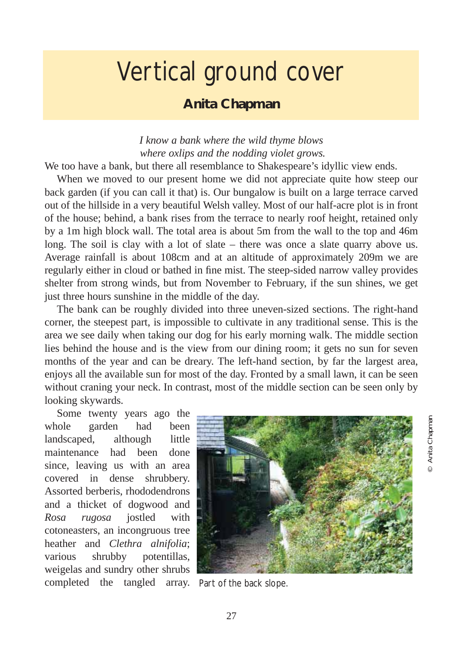## Vertical ground cover

## **Anita Chapman**

*I know a bank where the wild thyme blows where oxlips and the nodding violet grows.*

We too have a bank, but there all resemblance to Shakespeare's idyllic view ends.

When we moved to our present home we did not appreciate quite how steep our back garden (if you can call it that) is. Our bungalow is built on a large terrace carved out of the hillside in a very beautiful Welsh valley. Most of our half-acre plot is in front of the house; behind, a bank rises from the terrace to nearly roof height, retained only by a 1m high block wall. The total area is about 5m from the wall to the top and 46m long. The soil is clay with a lot of slate – there was once a slate quarry above us. Average rainfall is about 108cm and at an altitude of approximately 209m we are regularly either in cloud or bathed in fine mist. The steep-sided narrow valley provides shelter from strong winds, but from November to February, if the sun shines, we get just three hours sunshine in the middle of the day.

The bank can be roughly divided into three uneven-sized sections. The right-hand corner, the steepest part, is impossible to cultivate in any traditional sense. This is the area we see daily when taking our dog for his early morning walk. The middle section lies behind the house and is the view from our dining room; it gets no sun for seven months of the year and can be dreary. The left-hand section, by far the largest area, enjoys all the available sun for most of the day. Fronted by a small lawn, it can be seen without craning your neck. In contrast, most of the middle section can be seen only by looking skywards.

Some twenty years ago the whole garden had been landscaped, although little maintenance had been done since, leaving us with an area covered in dense shrubbery. Assorted berberis, rhododendrons and a thicket of dogwood and *Rosa rugosa* jostled with cotoneasters, an incongruous tree heather and *Clethra alnifolia*; various shrubby potentillas, weigelas and sundry other shrubs completed the tangled array.



Part of the back slope.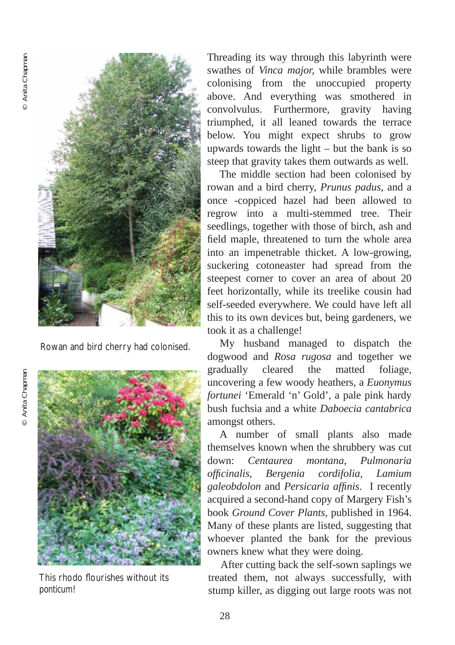© Anita Chapman

© Anita Chapman



Rowan and bird cherry had colonised.

This rhodo flourishes without its *ponticum*!

Threading its way through this labyrinth were swathes of *Vinca major,* while brambles were colonising from the unoccupied property above. And everything was smothered in convolvulus. Furthermore, gravity having triumphed, it all leaned towards the terrace below. You might expect shrubs to grow upwards towards the light – but the bank is so steep that gravity takes them outwards as well.

The middle section had been colonised by rowan and a bird cherry, *Prunus padus*, and a once -coppiced hazel had been allowed to regrow into a multi-stemmed tree. Their seedlings, together with those of birch, ash and field maple, threatened to turn the whole area into an impenetrable thicket. A low-growing, suckering cotoneaster had spread from the steepest corner to cover an area of about 20 feet horizontally, while its treelike cousin had self-seeded everywhere. We could have left all this to its own devices but, being gardeners, we took it as a challenge!

My husband managed to dispatch the dogwood and *Rosa rugosa* and together we gradually cleared the matted foliage, uncovering a few woody heathers, a *Euonymus fortunei* 'Emerald 'n' Gold', a pale pink hardy bush fuchsia and a white *Daboecia cantabrica* amongst others.

A number of small plants also made themselves known when the shrubbery was cut down: *Centaurea montana*, *Pulmonaria officinalis, Bergenia cordifolia, Lamium galeobdolon* and *Persicaria affinis*. I recently acquired a second-hand copy of Margery Fish's book *Ground Cover Plants*, published in 1964. Many of these plants are listed, suggesting that whoever planted the bank for the previous owners knew what they were doing.

After cutting back the self-sown saplings we treated them, not always successfully, with stump killer, as digging out large roots was not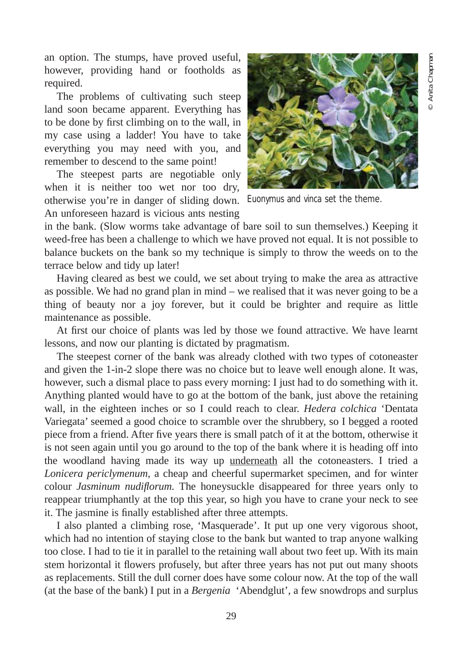an option. The stumps, have proved useful, however, providing hand or footholds as required.

The problems of cultivating such steep land soon became apparent. Everything has to be done by first climbing on to the wall, in my case using a ladder! You have to take everything you may need with you, and remember to descend to the same point!

The steepest parts are negotiable only when it is neither too wet nor too dry, otherwise you're in danger of sliding down. *Euonymus* and *vinca* set the theme. An unforeseen hazard is vicious ants nesting



in the bank. (Slow worms take advantage of bare soil to sun themselves.) Keeping it weed-free has been a challenge to which we have proved not equal. It is not possible to balance buckets on the bank so my technique is simply to throw the weeds on to the terrace below and tidy up later!

Having cleared as best we could, we set about trying to make the area as attractive as possible. We had no grand plan in mind – we realised that it was never going to be a thing of beauty nor a joy forever, but it could be brighter and require as little maintenance as possible.

At first our choice of plants was led by those we found attractive. We have learnt lessons, and now our planting is dictated by pragmatism.

The steepest corner of the bank was already clothed with two types of cotoneaster and given the 1-in-2 slope there was no choice but to leave well enough alone. It was, however, such a dismal place to pass every morning: I just had to do something with it. Anything planted would have to go at the bottom of the bank, just above the retaining wall, in the eighteen inches or so I could reach to clear. *Hedera colchica* 'Dentata Variegata' seemed a good choice to scramble over the shrubbery, so I begged a rooted piece from a friend. After five years there is small patch of it at the bottom, otherwise it is not seen again until you go around to the top of the bank where it is heading off into the woodland having made its way up underneath all the cotoneasters. I tried a *Lonicera periclymenum*, a cheap and cheerful supermarket specimen, and for winter colour *Jasminum nudiflorum.* The honeysuckle disappeared for three years only to reappear triumphantly at the top this year, so high you have to crane your neck to see it. The jasmine is finally established after three attempts.

I also planted a climbing rose, 'Masquerade'. It put up one very vigorous shoot, which had no intention of staying close to the bank but wanted to trap anyone walking too close. I had to tie it in parallel to the retaining wall about two feet up. With its main stem horizontal it flowers profusely, but after three years has not put out many shoots as replacements. Still the dull corner does have some colour now. At the top of the wall (at the base of the bank) I put in a *Bergenia* 'Abendglut', a few snowdrops and surplus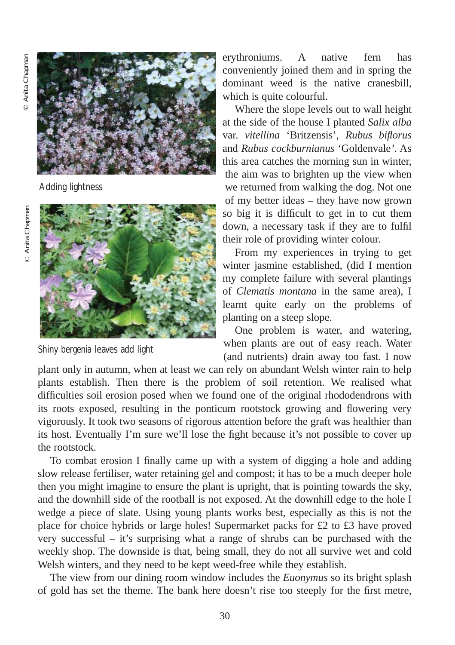© Anita Chapman

© Anita Chapman



Adding lightness



Shiny *bergenia* leaves add light

erythroniums. A native fern has conveniently joined them and in spring the dominant weed is the native cranesbill, which is quite colourful.

Where the slope levels out to wall height at the side of the house I planted *Salix alba* var. *vitellina* 'Britzensis', *Rubus biflorus* and *Rubus cockburnianus* 'Goldenvale*'*. As this area catches the morning sun in winter, the aim was to brighten up the view when we returned from walking the dog. Not one of my better ideas – they have now grown so big it is difficult to get in to cut them down, a necessary task if they are to fulfil their role of providing winter colour.

From my experiences in trying to get winter jasmine established, (did I mention my complete failure with several plantings of *Clematis montana* in the same area), I learnt quite early on the problems of planting on a steep slope.

One problem is water, and watering, when plants are out of easy reach. Water (and nutrients) drain away too fast. I now

plant only in autumn, when at least we can rely on abundant Welsh winter rain to help plants establish. Then there is the problem of soil retention. We realised what difficulties soil erosion posed when we found one of the original rhododendrons with its roots exposed, resulting in the ponticum rootstock growing and flowering very vigorously. It took two seasons of rigorous attention before the graft was healthier than its host. Eventually I'm sure we'll lose the fight because it's not possible to cover up the rootstock.

To combat erosion I finally came up with a system of digging a hole and adding slow release fertiliser, water retaining gel and compost; it has to be a much deeper hole then you might imagine to ensure the plant is upright, that is pointing towards the sky, and the downhill side of the rootball is not exposed. At the downhill edge to the hole I wedge a piece of slate. Using young plants works best, especially as this is not the place for choice hybrids or large holes! Supermarket packs for £2 to £3 have proved very successful – it's surprising what a range of shrubs can be purchased with the weekly shop. The downside is that, being small, they do not all survive wet and cold Welsh winters, and they need to be kept weed-free while they establish.

The view from our dining room window includes the *Euonymus* so its bright splash of gold has set the theme. The bank here doesn't rise too steeply for the first metre,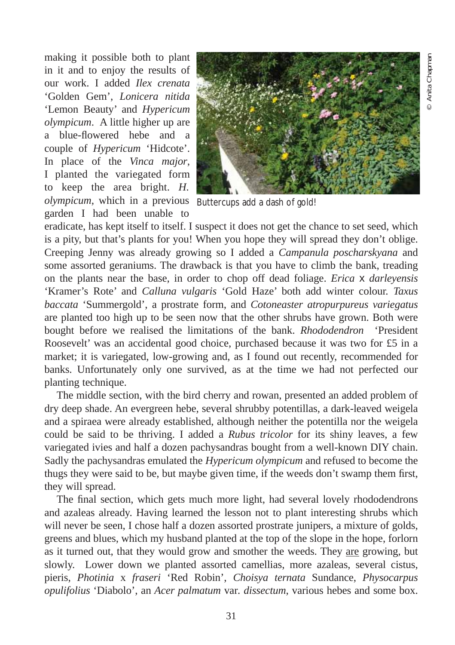making it possible both to plant in it and to enjoy the results of our work. I added *Ilex crenata* 'Golden Gem', *Lonicera nitida* 'Lemon Beauty' and *Hypericum olympicum*. A little higher up are a blue-flowered hebe and a couple of *Hypericum* 'Hidcote'. In place of the *Vinca major*, I planted the variegated form to keep the area bright. *H. olympicum*, which in a previous Buttercups add a dash of gold! garden I had been unable to



eradicate, has kept itself to itself. I suspect it does not get the chance to set seed, which is a pity, but that's plants for you! When you hope they will spread they don't oblige. Creeping Jenny was already growing so I added a *Campanula poscharskyana* and some assorted geraniums. The drawback is that you have to climb the bank, treading on the plants near the base, in order to chop off dead foliage. *Erica* x *darleyensis* 'Kramer's Rote' and *Calluna vulgaris* 'Gold Haze' both add winter colour. *Taxus baccata* 'Summergold', a prostrate form, and *Cotoneaster atropurpureus variegatus* are planted too high up to be seen now that the other shrubs have grown. Both were bought before we realised the limitations of the bank. *Rhododendron* 'President Roosevelt' was an accidental good choice, purchased because it was two for £5 in a market; it is variegated, low-growing and, as I found out recently, recommended for banks. Unfortunately only one survived, as at the time we had not perfected our planting technique.

The middle section, with the bird cherry and rowan, presented an added problem of dry deep shade. An evergreen hebe, several shrubby potentillas, a dark-leaved weigela and a spiraea were already established, although neither the potentilla nor the weigela could be said to be thriving. I added a *Rubus tricolor* for its shiny leaves, a few variegated ivies and half a dozen pachysandras bought from a well-known DIY chain. Sadly the pachysandras emulated the *Hypericum olympicum* and refused to become the thugs they were said to be, but maybe given time, if the weeds don't swamp them first, they will spread.

The final section, which gets much more light, had several lovely rhododendrons and azaleas already. Having learned the lesson not to plant interesting shrubs which will never be seen, I chose half a dozen assorted prostrate junipers, a mixture of golds, greens and blues, which my husband planted at the top of the slope in the hope, forlorn as it turned out, that they would grow and smother the weeds. They are growing, but slowly. Lower down we planted assorted camellias, more azaleas, several cistus, pieris, *Photinia* x *fraseri* 'Red Robin', *Choisya ternata* Sundance, *Physocarpus opulifolius* 'Diabolo', an *Acer palmatum* var*. dissectum*, various hebes and some box.